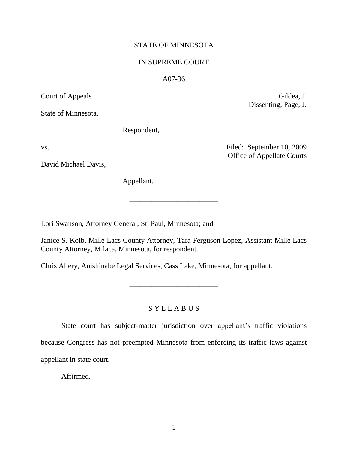## STATE OF MINNESOTA

### IN SUPREME COURT

### A07-36

Court of Appeals Gildea, J.

State of Minnesota,

Respondent,

vs. Filed: September 10, 2009

David Michael Davis,

Office of Appellate Courts

Dissenting, Page, J.

Appellant.

Lori Swanson, Attorney General, St. Paul, Minnesota; and

Janice S. Kolb, Mille Lacs County Attorney, Tara Ferguson Lopez, Assistant Mille Lacs County Attorney, Milaca, Minnesota, for respondent.

**\_\_\_\_\_\_\_\_\_\_\_\_\_\_\_\_\_\_\_\_\_\_\_\_**

Chris Allery, Anishinabe Legal Services, Cass Lake, Minnesota, for appellant.

## S Y L L A B U S

**\_\_\_\_\_\_\_\_\_\_\_\_\_\_\_\_\_\_\_\_\_\_\_\_**

State court has subject-matter jurisdiction over appellant's traffic violations because Congress has not preempted Minnesota from enforcing its traffic laws against appellant in state court.

Affirmed.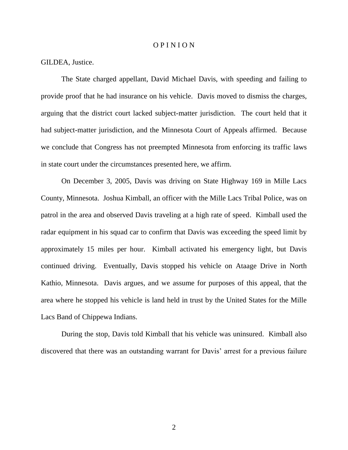#### O P I N I O N

### GILDEA, Justice.

The State charged appellant, David Michael Davis, with speeding and failing to provide proof that he had insurance on his vehicle. Davis moved to dismiss the charges, arguing that the district court lacked subject-matter jurisdiction. The court held that it had subject-matter jurisdiction, and the Minnesota Court of Appeals affirmed. Because we conclude that Congress has not preempted Minnesota from enforcing its traffic laws in state court under the circumstances presented here, we affirm.

On December 3, 2005, Davis was driving on State Highway 169 in Mille Lacs County, Minnesota. Joshua Kimball, an officer with the Mille Lacs Tribal Police, was on patrol in the area and observed Davis traveling at a high rate of speed. Kimball used the radar equipment in his squad car to confirm that Davis was exceeding the speed limit by approximately 15 miles per hour. Kimball activated his emergency light, but Davis continued driving. Eventually, Davis stopped his vehicle on Ataage Drive in North Kathio, Minnesota. Davis argues, and we assume for purposes of this appeal, that the area where he stopped his vehicle is land held in trust by the United States for the Mille Lacs Band of Chippewa Indians.

During the stop, Davis told Kimball that his vehicle was uninsured. Kimball also discovered that there was an outstanding warrant for Davis' arrest for a previous failure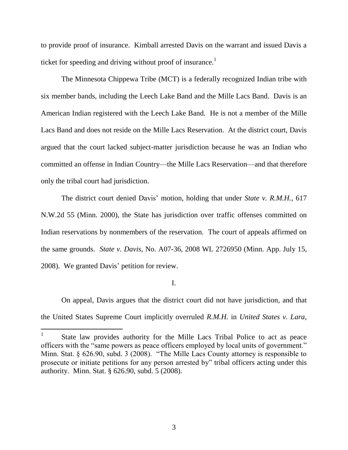to provide proof of insurance. Kimball arrested Davis on the warrant and issued Davis a ticket for speeding and driving without proof of insurance.<sup>1</sup>

The Minnesota Chippewa Tribe (MCT) is a federally recognized Indian tribe with six member bands, including the Leech Lake Band and the Mille Lacs Band. Davis is an American Indian registered with the Leech Lake Band. He is not a member of the Mille Lacs Band and does not reside on the Mille Lacs Reservation. At the district court, Davis argued that the court lacked subject-matter jurisdiction because he was an Indian who committed an offense in Indian Country—the Mille Lacs Reservation—and that therefore only the tribal court had jurisdiction.

The district court denied Davis' motion, holding that under *State v. R.M.H.*, 617 N.W.2d 55 (Minn. 2000), the State has jurisdiction over traffic offenses committed on Indian reservations by nonmembers of the reservation. The court of appeals affirmed on the same grounds. *State v. Davis*, No. A07-36, 2008 WL 2726950 (Minn. App. July 15, 2008). We granted Davis" petition for review.

I.

On appeal, Davis argues that the district court did not have jurisdiction, and that the United States Supreme Court implicitly overruled *R.M.H.* in *United States v. Lara*,

 $\overline{a}$ 

<sup>1</sup> State law provides authority for the Mille Lacs Tribal Police to act as peace officers with the "same powers as peace officers employed by local units of government." Minn. Stat. § 626.90, subd. 3 (2008). "The Mille Lacs County attorney is responsible to prosecute or initiate petitions for any person arrested by" tribal officers acting under this authority. Minn. Stat. § 626.90, subd. 5 (2008).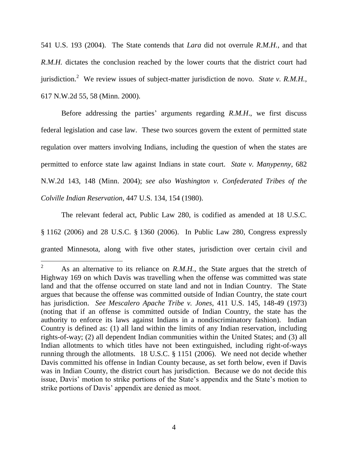541 U.S. 193 (2004). The State contends that *Lara* did not overrule *R.M.H.*, and that *R.M.H.* dictates the conclusion reached by the lower courts that the district court had jurisdiction.<sup>2</sup> We review issues of subject-matter jurisdiction de novo. *State v. R.M.H.*, 617 N.W.2d 55, 58 (Minn. 2000).

Before addressing the parties' arguments regarding *R.M.H.*, we first discuss federal legislation and case law. These two sources govern the extent of permitted state regulation over matters involving Indians, including the question of when the states are permitted to enforce state law against Indians in state court. *State v. Manypenny*, 682 N.W.2d 143, 148 (Minn. 2004); *see also Washington v. Confederated Tribes of the Colville Indian Reservation*, 447 U.S. 134, 154 (1980).

The relevant federal act, Public Law 280, is codified as amended at 18 U.S.C. § 1162 (2006) and 28 U.S.C. § 1360 (2006). In Public Law 280, Congress expressly granted Minnesota, along with five other states, jurisdiction over certain civil and

 $\overline{2}$ As an alternative to its reliance on *R.M.H.*, the State argues that the stretch of Highway 169 on which Davis was travelling when the offense was committed was state land and that the offense occurred on state land and not in Indian Country. The State argues that because the offense was committed outside of Indian Country, the state court has jurisdiction. *See Mescalero Apache Tribe v. Jones*, 411 U.S. 145, 148-49 (1973) (noting that if an offense is committed outside of Indian Country, the state has the authority to enforce its laws against Indians in a nondiscriminatory fashion). Indian Country is defined as: (1) all land within the limits of any Indian reservation, including rights-of-way; (2) all dependent Indian communities within the United States; and (3) all Indian allotments to which titles have not been extinguished, including right-of-ways running through the allotments. 18 U.S.C. § 1151 (2006). We need not decide whether Davis committed his offense in Indian County because, as set forth below, even if Davis was in Indian County, the district court has jurisdiction. Because we do not decide this issue, Davis' motion to strike portions of the State's appendix and the State's motion to strike portions of Davis' appendix are denied as moot.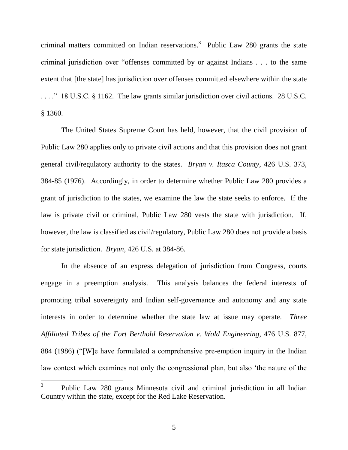criminal matters committed on Indian reservations. 3 Public Law 280 grants the state criminal jurisdiction over "offenses committed by or against Indians . . . to the same extent that [the state] has jurisdiction over offenses committed elsewhere within the state . . . ." 18 U.S.C. § 1162. The law grants similar jurisdiction over civil actions. 28 U.S.C. § 1360.

The United States Supreme Court has held, however, that the civil provision of Public Law 280 applies only to private civil actions and that this provision does not grant general civil/regulatory authority to the states. *Bryan v. Itasca County*, 426 U.S. 373, 384-85 (1976). Accordingly, in order to determine whether Public Law 280 provides a grant of jurisdiction to the states, we examine the law the state seeks to enforce. If the law is private civil or criminal, Public Law 280 vests the state with jurisdiction. If, however, the law is classified as civil/regulatory, Public Law 280 does not provide a basis for state jurisdiction. *Bryan*, 426 U.S. at 384-86.

In the absence of an express delegation of jurisdiction from Congress, courts engage in a preemption analysis. This analysis balances the federal interests of promoting tribal sovereignty and Indian self-governance and autonomy and any state interests in order to determine whether the state law at issue may operate. *Three Affiliated Tribes of the Fort Berthold Reservation v. Wold Engineering*, 476 U.S. 877, 884 (1986) ("[W]e have formulated a comprehensive pre-emption inquiry in the Indian law context which examines not only the congressional plan, but also "the nature of the

<sup>3</sup> Public Law 280 grants Minnesota civil and criminal jurisdiction in all Indian Country within the state, except for the Red Lake Reservation.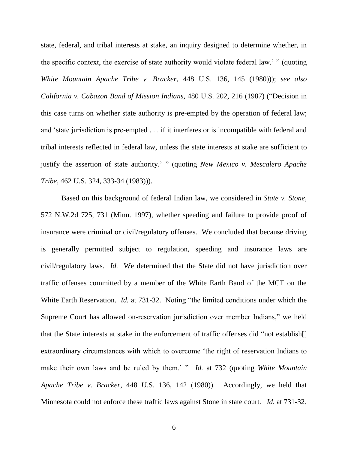state, federal, and tribal interests at stake, an inquiry designed to determine whether, in the specific context, the exercise of state authority would violate federal law." " (quoting *White Mountain Apache Tribe v. Bracker*, 448 U.S. 136, 145 (1980))); *see also California v. Cabazon Band of Mission Indians*, 480 U.S. 202, 216 (1987) ("Decision in this case turns on whether state authority is pre-empted by the operation of federal law; and "state jurisdiction is pre-empted . . . if it interferes or is incompatible with federal and tribal interests reflected in federal law, unless the state interests at stake are sufficient to justify the assertion of state authority." " (quoting *New Mexico v. Mescalero Apache Tribe*, 462 U.S. 324, 333-34 (1983))).

Based on this background of federal Indian law, we considered in *State v. Stone*, 572 N.W.2d 725, 731 (Minn. 1997), whether speeding and failure to provide proof of insurance were criminal or civil/regulatory offenses. We concluded that because driving is generally permitted subject to regulation, speeding and insurance laws are civil/regulatory laws. *Id.* We determined that the State did not have jurisdiction over traffic offenses committed by a member of the White Earth Band of the MCT on the White Earth Reservation. *Id.* at 731-32. Noting "the limited conditions under which the Supreme Court has allowed on-reservation jurisdiction over member Indians," we held that the State interests at stake in the enforcement of traffic offenses did "not establish[] extraordinary circumstances with which to overcome "the right of reservation Indians to make their own laws and be ruled by them." " *Id.* at 732 (quoting *White Mountain Apache Tribe v. Bracker*, 448 U.S. 136, 142 (1980)). Accordingly, we held that Minnesota could not enforce these traffic laws against Stone in state court. *Id.* at 731-32.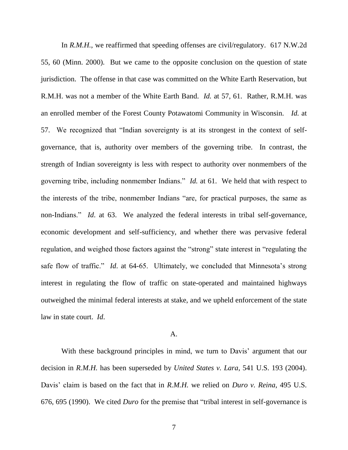In *R.M.H.*, we reaffirmed that speeding offenses are civil/regulatory. 617 N.W.2d 55, 60 (Minn. 2000). But we came to the opposite conclusion on the question of state jurisdiction. The offense in that case was committed on the White Earth Reservation, but R.M.H. was not a member of the White Earth Band. *Id.* at 57, 61. Rather, R.M.H. was an enrolled member of the Forest County Potawatomi Community in Wisconsin. *Id.* at 57. We recognized that "Indian sovereignty is at its strongest in the context of selfgovernance, that is, authority over members of the governing tribe. In contrast, the strength of Indian sovereignty is less with respect to authority over nonmembers of the governing tribe, including nonmember Indians." *Id.* at 61. We held that with respect to the interests of the tribe, nonmember Indians "are, for practical purposes, the same as non-Indians." *Id*. at 63. We analyzed the federal interests in tribal self-governance, economic development and self-sufficiency, and whether there was pervasive federal regulation, and weighed those factors against the "strong" state interest in "regulating the safe flow of traffic." *Id.* at 64-65. Ultimately, we concluded that Minnesota's strong interest in regulating the flow of traffic on state-operated and maintained highways outweighed the minimal federal interests at stake, and we upheld enforcement of the state law in state court. *Id*.

### A.

With these background principles in mind, we turn to Davis' argument that our decision in *R.M.H.* has been superseded by *United States v. Lara*, 541 U.S. 193 (2004). Davis" claim is based on the fact that in *R.M.H.* we relied on *Duro v. Reina*, 495 U.S. 676, 695 (1990). We cited *Duro* for the premise that "tribal interest in self-governance is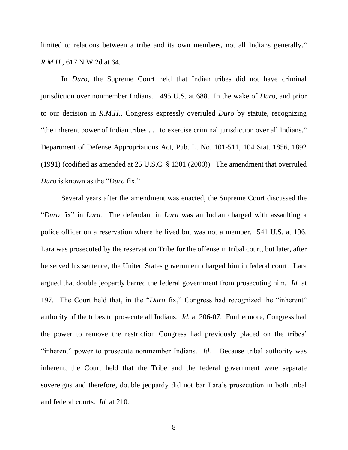limited to relations between a tribe and its own members, not all Indians generally." *R.M.H.*, 617 N.W.2d at 64.

In *Duro*, the Supreme Court held that Indian tribes did not have criminal jurisdiction over nonmember Indians. 495 U.S. at 688. In the wake of *Duro*, and prior to our decision in *R.M.H.*, Congress expressly overruled *Duro* by statute, recognizing "the inherent power of Indian tribes . . . to exercise criminal jurisdiction over all Indians." Department of Defense Appropriations Act, Pub. L. No. 101-511, 104 Stat. 1856, 1892 (1991) (codified as amended at 25 U.S.C. § 1301 (2000)). The amendment that overruled *Duro* is known as the "*Duro* fix."

Several years after the amendment was enacted, the Supreme Court discussed the "*Duro* fix" in *Lara.* The defendant in *Lara* was an Indian charged with assaulting a police officer on a reservation where he lived but was not a member. 541 U.S. at 196. Lara was prosecuted by the reservation Tribe for the offense in tribal court, but later, after he served his sentence, the United States government charged him in federal court. Lara argued that double jeopardy barred the federal government from prosecuting him. *Id.* at 197. The Court held that, in the "*Duro* fix," Congress had recognized the "inherent" authority of the tribes to prosecute all Indians. *Id.* at 206-07. Furthermore, Congress had the power to remove the restriction Congress had previously placed on the tribes" "inherent" power to prosecute nonmember Indians. *Id.* Because tribal authority was inherent, the Court held that the Tribe and the federal government were separate sovereigns and therefore, double jeopardy did not bar Lara"s prosecution in both tribal and federal courts. *Id.* at 210.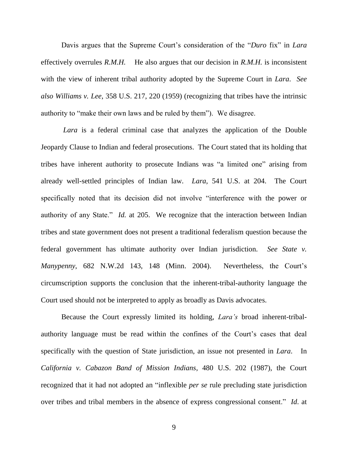Davis argues that the Supreme Court"s consideration of the "*Duro* fix" in *Lara*  effectively overrules *R.M.H.* He also argues that our decision in *R.M.H.* is inconsistent with the view of inherent tribal authority adopted by the Supreme Court in *Lara*. *See also Williams v. Lee*, 358 U.S. 217, 220 (1959) (recognizing that tribes have the intrinsic authority to "make their own laws and be ruled by them"). We disagree.

*Lara* is a federal criminal case that analyzes the application of the Double Jeopardy Clause to Indian and federal prosecutions. The Court stated that its holding that tribes have inherent authority to prosecute Indians was "a limited one" arising from already well-settled principles of Indian law. *Lara*, 541 U.S. at 204. The Court specifically noted that its decision did not involve "interference with the power or authority of any State." *Id.* at 205. We recognize that the interaction between Indian tribes and state government does not present a traditional federalism question because the federal government has ultimate authority over Indian jurisdiction. *See State v. Manypenny*, 682 N.W.2d 143, 148 (Minn. 2004). Nevertheless, the Court"s circumscription supports the conclusion that the inherent-tribal-authority language the Court used should not be interpreted to apply as broadly as Davis advocates.

Because the Court expressly limited its holding, *Lara's* broad inherent-tribalauthority language must be read within the confines of the Court's cases that deal specifically with the question of State jurisdiction, an issue not presented in *Lara*. In *California v. Cabazon Band of Mission Indians*, 480 U.S. 202 (1987), the Court recognized that it had not adopted an "inflexible *per se* rule precluding state jurisdiction over tribes and tribal members in the absence of express congressional consent." *Id*. at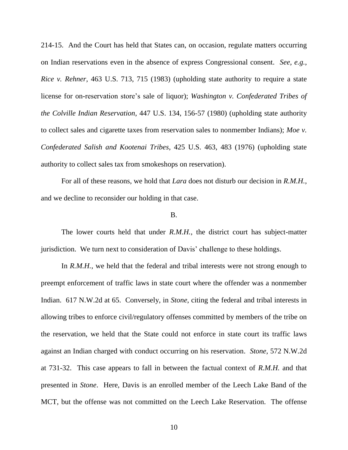214-15. And the Court has held that States can, on occasion, regulate matters occurring on Indian reservations even in the absence of express Congressional consent. *See, e.g.*, *Rice v. Rehner*, 463 U.S. 713, 715 (1983) (upholding state authority to require a state license for on-reservation store's sale of liquor); *Washington v. Confederated Tribes of the Colville Indian Reservation*, 447 U.S. 134, 156-57 (1980) (upholding state authority to collect sales and cigarette taxes from reservation sales to nonmember Indians); *Moe v. Confederated Salish and Kootenai Tribes*, 425 U.S. 463, 483 (1976) (upholding state authority to collect sales tax from smokeshops on reservation).

For all of these reasons, we hold that *Lara* does not disturb our decision in *R.M.H.*, and we decline to reconsider our holding in that case.

#### B.

The lower courts held that under *R.M.H.*, the district court has subject-matter jurisdiction. We turn next to consideration of Davis' challenge to these holdings.

In *R.M.H.*, we held that the federal and tribal interests were not strong enough to preempt enforcement of traffic laws in state court where the offender was a nonmember Indian. 617 N.W.2d at 65. Conversely, in *Stone*, citing the federal and tribal interests in allowing tribes to enforce civil/regulatory offenses committed by members of the tribe on the reservation, we held that the State could not enforce in state court its traffic laws against an Indian charged with conduct occurring on his reservation. *Stone*, 572 N.W.2d at 731-32. This case appears to fall in between the factual context of *R.M.H.* and that presented in *Stone*. Here, Davis is an enrolled member of the Leech Lake Band of the MCT, but the offense was not committed on the Leech Lake Reservation. The offense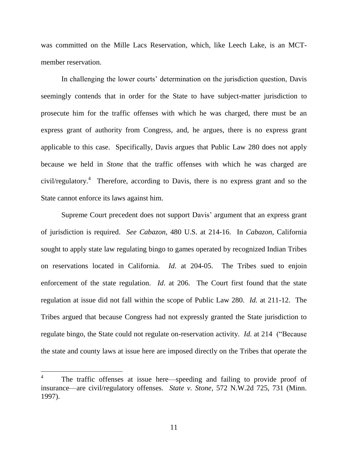was committed on the Mille Lacs Reservation, which, like Leech Lake, is an MCTmember reservation.

In challenging the lower courts' determination on the jurisdiction question, Davis seemingly contends that in order for the State to have subject-matter jurisdiction to prosecute him for the traffic offenses with which he was charged, there must be an express grant of authority from Congress, and, he argues, there is no express grant applicable to this case. Specifically, Davis argues that Public Law 280 does not apply because we held in *Stone* that the traffic offenses with which he was charged are civil/regulatory.<sup>4</sup> Therefore, according to Davis, there is no express grant and so the State cannot enforce its laws against him.

Supreme Court precedent does not support Davis" argument that an express grant of jurisdiction is required. *See Cabazon*, 480 U.S. at 214-16. In *Cabazon*, California sought to apply state law regulating bingo to games operated by recognized Indian Tribes on reservations located in California. *Id*. at 204-05. The Tribes sued to enjoin enforcement of the state regulation. *Id*. at 206. The Court first found that the state regulation at issue did not fall within the scope of Public Law 280. *Id.* at 211-12. The Tribes argued that because Congress had not expressly granted the State jurisdiction to regulate bingo, the State could not regulate on-reservation activity. *Id.* at 214 ("Because the state and county laws at issue here are imposed directly on the Tribes that operate the

<sup>4</sup> The traffic offenses at issue here—speeding and failing to provide proof of insurance—are civil/regulatory offenses. *State v. Stone*, 572 N.W.2d 725, 731 (Minn. 1997).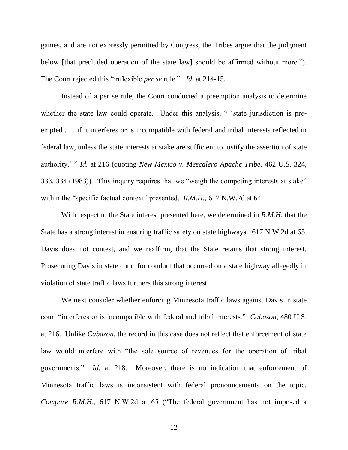games, and are not expressly permitted by Congress, the Tribes argue that the judgment below [that precluded operation of the state law] should be affirmed without more."). The Court rejected this "inflexible *per se* rule." *Id.* at 214-15.

Instead of a per se rule, the Court conducted a preemption analysis to determine whether the state law could operate. Under this analysis, "state jurisdiction is preempted . . . if it interferes or is incompatible with federal and tribal interests reflected in federal law, unless the state interests at stake are sufficient to justify the assertion of state authority." " *Id.* at 216 (quoting *New Mexico v. Mescalero Apache Tribe*, 462 U.S. 324, 333, 334 (1983)). This inquiry requires that we "weigh the competing interests at stake" within the "specific factual context" presented. *R.M.H.*, 617 N.W.2d at 64.

With respect to the State interest presented here, we determined in *R.M.H.* that the State has a strong interest in ensuring traffic safety on state highways. 617 N.W.2d at 65. Davis does not contest, and we reaffirm, that the State retains that strong interest. Prosecuting Davis in state court for conduct that occurred on a state highway allegedly in violation of state traffic laws furthers this strong interest.

We next consider whether enforcing Minnesota traffic laws against Davis in state court "interferes or is incompatible with federal and tribal interests." *Cabazon*, 480 U.S. at 216. Unlike *Cabazon*, the record in this case does not reflect that enforcement of state law would interfere with "the sole source of revenues for the operation of tribal governments." *Id.* at 218. Moreover, there is no indication that enforcement of Minnesota traffic laws is inconsistent with federal pronouncements on the topic. *Compare R.M.H.*, 617 N.W.2d at 65 ("The federal government has not imposed a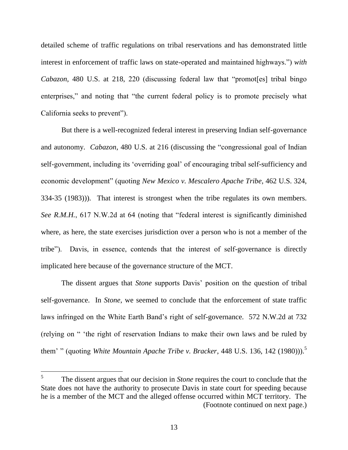detailed scheme of traffic regulations on tribal reservations and has demonstrated little interest in enforcement of traffic laws on state-operated and maintained highways.") *with Cabazon*, 480 U.S. at 218, 220 (discussing federal law that "promot [es] tribal bingo enterprises," and noting that "the current federal policy is to promote precisely what California seeks to prevent").

But there is a well-recognized federal interest in preserving Indian self-governance and autonomy. *Cabazon*, 480 U.S. at 216 (discussing the "congressional goal of Indian self-government, including its "overriding goal" of encouraging tribal self-sufficiency and economic development" (quoting *New Mexico v. Mescalero Apache Tribe*, 462 U.S. 324, 334-35 (1983))). That interest is strongest when the tribe regulates its own members. *See R.M.H.*, 617 N.W.2d at 64 (noting that "federal interest is significantly diminished where, as here, the state exercises jurisdiction over a person who is not a member of the tribe"). Davis, in essence, contends that the interest of self-governance is directly implicated here because of the governance structure of the MCT.

The dissent argues that *Stone* supports Davis' position on the question of tribal self-governance. In *Stone*, we seemed to conclude that the enforcement of state traffic laws infringed on the White Earth Band"s right of self-governance. 572 N.W.2d at 732 (relying on " "the right of reservation Indians to make their own laws and be ruled by them' " (quoting *White Mountain Apache Tribe v. Bracker*, 448 U.S. 136, 142 (1980))).<sup>5</sup>

<sup>5</sup> The dissent argues that our decision in *Stone* requires the court to conclude that the State does not have the authority to prosecute Davis in state court for speeding because he is a member of the MCT and the alleged offense occurred within MCT territory. The (Footnote continued on next page.)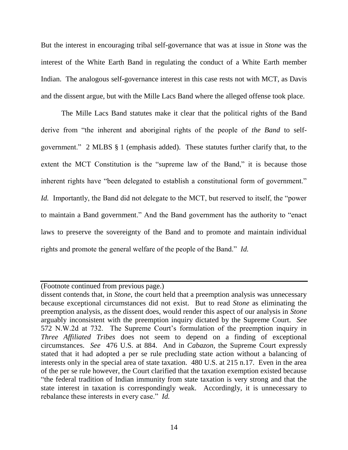But the interest in encouraging tribal self-governance that was at issue in *Stone* was the interest of the White Earth Band in regulating the conduct of a White Earth member Indian. The analogous self-governance interest in this case rests not with MCT, as Davis and the dissent argue, but with the Mille Lacs Band where the alleged offense took place.

The Mille Lacs Band statutes make it clear that the political rights of the Band derive from "the inherent and aboriginal rights of the people of *the Band* to selfgovernment." 2 MLBS § 1 (emphasis added). These statutes further clarify that, to the extent the MCT Constitution is the "supreme law of the Band," it is because those inherent rights have "been delegated to establish a constitutional form of government." *Id.* Importantly, the Band did not delegate to the MCT, but reserved to itself, the "power to maintain a Band government." And the Band government has the authority to "enact laws to preserve the sovereignty of the Band and to promote and maintain individual rights and promote the general welfare of the people of the Band." *Id.*

<sup>(</sup>Footnote continued from previous page.)

dissent contends that, in *Stone*, the court held that a preemption analysis was unnecessary because exceptional circumstances did not exist. But to read *Stone* as eliminating the preemption analysis, as the dissent does, would render this aspect of our analysis in *Stone* arguably inconsistent with the preemption inquiry dictated by the Supreme Court. *See*  572 N.W.2d at 732. The Supreme Court's formulation of the preemption inquiry in *Three Affiliated Tribes* does not seem to depend on a finding of exceptional circumstances. *See* 476 U.S. at 884. And in *Cabazon*, the Supreme Court expressly stated that it had adopted a per se rule precluding state action without a balancing of interests only in the special area of state taxation. 480 U.S. at 215 n.17. Even in the area of the per se rule however, the Court clarified that the taxation exemption existed because "the federal tradition of Indian immunity from state taxation is very strong and that the state interest in taxation is correspondingly weak. Accordingly, it is unnecessary to rebalance these interests in every case." *Id.*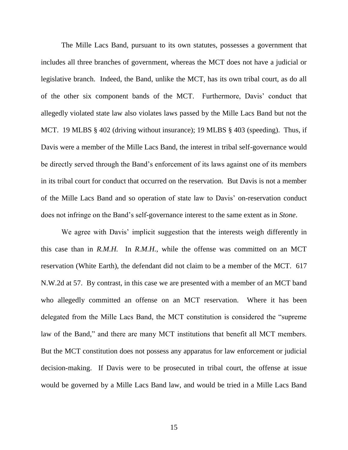The Mille Lacs Band, pursuant to its own statutes, possesses a government that includes all three branches of government, whereas the MCT does not have a judicial or legislative branch. Indeed, the Band, unlike the MCT, has its own tribal court, as do all of the other six component bands of the MCT. Furthermore, Davis" conduct that allegedly violated state law also violates laws passed by the Mille Lacs Band but not the MCT. 19 MLBS § 402 (driving without insurance); 19 MLBS § 403 (speeding). Thus, if Davis were a member of the Mille Lacs Band, the interest in tribal self-governance would be directly served through the Band"s enforcement of its laws against one of its members in its tribal court for conduct that occurred on the reservation. But Davis is not a member of the Mille Lacs Band and so operation of state law to Davis" on-reservation conduct does not infringe on the Band"s self-governance interest to the same extent as in *Stone*.

We agree with Davis' implicit suggestion that the interests weigh differently in this case than in *R.M.H.* In *R.M.H.*, while the offense was committed on an MCT reservation (White Earth), the defendant did not claim to be a member of the MCT. 617 N.W.2d at 57. By contrast, in this case we are presented with a member of an MCT band who allegedly committed an offense on an MCT reservation. Where it has been delegated from the Mille Lacs Band, the MCT constitution is considered the "supreme law of the Band," and there are many MCT institutions that benefit all MCT members. But the MCT constitution does not possess any apparatus for law enforcement or judicial decision-making. If Davis were to be prosecuted in tribal court, the offense at issue would be governed by a Mille Lacs Band law, and would be tried in a Mille Lacs Band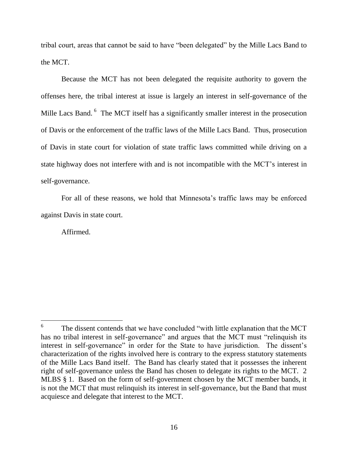tribal court, areas that cannot be said to have "been delegated" by the Mille Lacs Band to the MCT.

Because the MCT has not been delegated the requisite authority to govern the offenses here, the tribal interest at issue is largely an interest in self-governance of the Mille Lacs Band. <sup>6</sup> The MCT itself has a significantly smaller interest in the prosecution of Davis or the enforcement of the traffic laws of the Mille Lacs Band. Thus, prosecution of Davis in state court for violation of state traffic laws committed while driving on a state highway does not interfere with and is not incompatible with the MCT"s interest in self-governance.

For all of these reasons, we hold that Minnesota"s traffic laws may be enforced against Davis in state court.

Affirmed.

 $\overline{a}$ 

<sup>6</sup> The dissent contends that we have concluded "with little explanation that the MCT has no tribal interest in self-governance" and argues that the MCT must "relinquish its interest in self-governance" in order for the State to have jurisdiction. The dissent's characterization of the rights involved here is contrary to the express statutory statements of the Mille Lacs Band itself. The Band has clearly stated that it possesses the inherent right of self-governance unless the Band has chosen to delegate its rights to the MCT. 2 MLBS § 1. Based on the form of self-government chosen by the MCT member bands, it is not the MCT that must relinquish its interest in self-governance, but the Band that must acquiesce and delegate that interest to the MCT.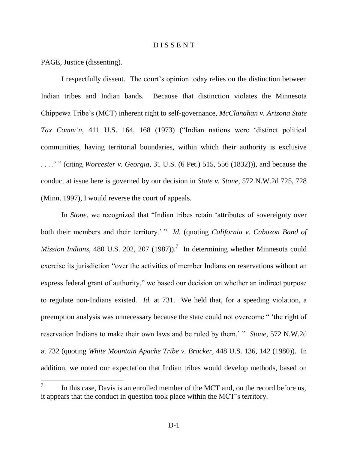### D I S S E N T

PAGE, Justice (dissenting).

I respectfully dissent. The court's opinion today relies on the distinction between Indian tribes and Indian bands. Because that distinction violates the Minnesota Chippewa Tribe"s (MCT) inherent right to self-governance, *McClanahan v. Arizona State Tax Comm'n*, 411 U.S. 164, 168 (1973) ("Indian nations were "distinct political communities, having territorial boundaries, within which their authority is exclusive . . . ." " (citing *Worcester v. Georgia*, 31 U.S. (6 Pet.) 515, 556 (1832))), and because the conduct at issue here is governed by our decision in *State v. Stone*, 572 N.W.2d 725, 728 (Minn. 1997), I would reverse the court of appeals.

In *Stone*, we recognized that "Indian tribes retain "attributes of sovereignty over both their members and their territory." " *Id.* (quoting *California v. Cabazon Band of Mission Indians*, 480 U.S. 202, 207 (1987)).<sup>7</sup> In determining whether Minnesota could exercise its jurisdiction "over the activities of member Indians on reservations without an express federal grant of authority," we based our decision on whether an indirect purpose to regulate non-Indians existed. *Id.* at 731. We held that, for a speeding violation, a preemption analysis was unnecessary because the state could not overcome " "the right of reservation Indians to make their own laws and be ruled by them." " *Stone*, 572 N.W.2d at 732 (quoting *White Mountain Apache Tribe v. Bracker*, 448 U.S. 136, 142 (1980)). In addition, we noted our expectation that Indian tribes would develop methods, based on

<sup>7</sup> In this case, Davis is an enrolled member of the MCT and, on the record before us, it appears that the conduct in question took place within the MCT"s territory.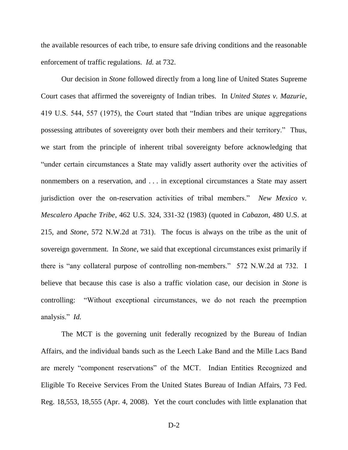the available resources of each tribe, to ensure safe driving conditions and the reasonable enforcement of traffic regulations. *Id.* at 732.

Our decision in *Stone* followed directly from a long line of United States Supreme Court cases that affirmed the sovereignty of Indian tribes. In *United States v. Mazurie*, 419 U.S. 544, 557 (1975), the Court stated that "Indian tribes are unique aggregations possessing attributes of sovereignty over both their members and their territory." Thus, we start from the principle of inherent tribal sovereignty before acknowledging that "under certain circumstances a State may validly assert authority over the activities of nonmembers on a reservation, and . . . in exceptional circumstances a State may assert jurisdiction over the on-reservation activities of tribal members." *New Mexico v. Mescalero Apache Tribe*, 462 U.S. 324, 331-32 (1983) (quoted in *Cabazon*, 480 U.S. at 215, and *Stone*, 572 N.W.2d at 731). The focus is always on the tribe as the unit of sovereign government. In *Stone*, we said that exceptional circumstances exist primarily if there is "any collateral purpose of controlling non-members." 572 N.W.2d at 732. I believe that because this case is also a traffic violation case, our decision in *Stone* is controlling: "Without exceptional circumstances, we do not reach the preemption analysis." *Id.*

The MCT is the governing unit federally recognized by the Bureau of Indian Affairs, and the individual bands such as the Leech Lake Band and the Mille Lacs Band are merely "component reservations" of the MCT. Indian Entities Recognized and Eligible To Receive Services From the United States Bureau of Indian Affairs, 73 Fed. Reg. 18,553, 18,555 (Apr. 4, 2008). Yet the court concludes with little explanation that

D-2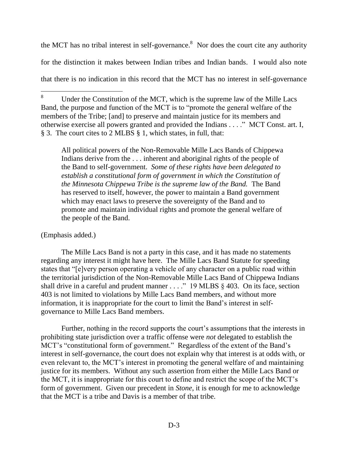the MCT has no tribal interest in self-governance.<sup>8</sup> Nor does the court cite any authority for the distinction it makes between Indian tribes and Indian bands. I would also note that there is no indication in this record that the MCT has no interest in self-governance

All political powers of the Non-Removable Mille Lacs Bands of Chippewa Indians derive from the . . . inherent and aboriginal rights of the people of the Band to self-government. *Some of these rights have been delegated to establish a constitutional form of government in which the Constitution of the Minnesota Chippewa Tribe is the supreme law of the Band.* The Band has reserved to itself, however, the power to maintain a Band government which may enact laws to preserve the sovereignty of the Band and to promote and maintain individual rights and promote the general welfare of the people of the Band.

# (Emphasis added.)

The Mille Lacs Band is not a party in this case, and it has made no statements regarding any interest it might have here. The Mille Lacs Band Statute for speeding states that "[e]very person operating a vehicle of any character on a public road within the territorial jurisdiction of the Non-Removable Mille Lacs Band of Chippewa Indians shall drive in a careful and prudent manner  $\dots$ ." 19 MLBS § 403. On its face, section 403 is not limited to violations by Mille Lacs Band members, and without more information, it is inappropriate for the court to limit the Band"s interest in selfgovernance to Mille Lacs Band members.

Further, nothing in the record supports the court's assumptions that the interests in prohibiting state jurisdiction over a traffic offense were *not* delegated to establish the MCT's "constitutional form of government." Regardless of the extent of the Band's interest in self-governance, the court does not explain why that interest is at odds with, or even relevant to, the MCT"s interest in promoting the general welfare of and maintaining justice for its members. Without any such assertion from either the Mille Lacs Band or the MCT, it is inappropriate for this court to define and restrict the scope of the MCT"s form of government. Given our precedent in *Stone*, it is enough for me to acknowledge that the MCT is a tribe and Davis is a member of that tribe.

<sup>8</sup> Under the Constitution of the MCT, which is the supreme law of the Mille Lacs Band, the purpose and function of the MCT is to "promote the general welfare of the members of the Tribe; [and] to preserve and maintain justice for its members and otherwise exercise all powers granted and provided the Indians . . . ." MCT Const. art. I, § 3. The court cites to 2 MLBS § 1, which states, in full, that: